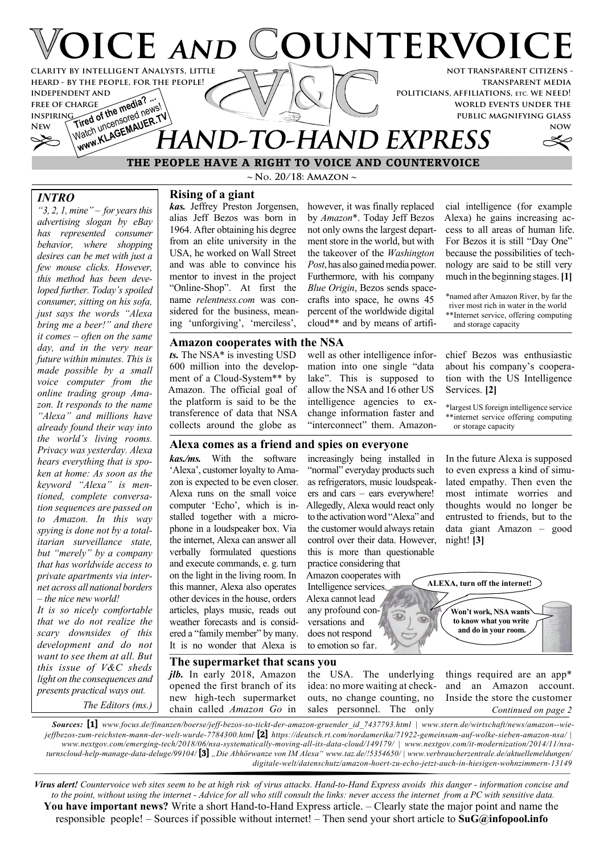

**transparent media politicians, affiliations, etc. we need! world events under the public magnifying glass**

**now**

# Watch uncensored news! Watch uncertenaugh **HAND-TO-HAND EXPRESS**

### **THE PEOPLE HAVE A RIGHT TO VOICE AND COUNTERVOICE**

#### *INTRO*

**independent and free of charge inspiring**

**FREE OF CHARGE The media? ...**<br>INSPIRING of the media new

*"3, 2, 1, mine" – for years this advertising slogan by eBay has represented consumer behavior, where shopping desires can be met with just a few mouse clicks. However, this method has been developed further. Today's spoiled consumer, sitting on his sofa, just says the words "Alexa bring me a beer!" and there it comes – often on the same day, and in the very near future within minutes. This is made possible by a small voice computer from the online trading group Amazon. It responds to the name "Alexa" and millions have already found their way into the world's living rooms. Privacy was yesterday. Alexa hears everything that is spoken at home: As soon as the keyword "Alexa" is mentioned, complete conversation sequences are passed on to Amazon. In this way spying is done not by a totalitarian surveillance state, but "merely" by a company that has worldwide access to private apartments via internet across all national borders – the nice new world!*

*It is so nicely comfortable that we do not realize the scary downsides of this development and do not want to see them at all. But this issue of V&C sheds light on the consequences and presents practical ways out. The Editors (ms.)*

**~ No. 20/18: Amazon ~**

**Rising of a giant** *kas.* Jeffrey Preston Jorgensen, alias Jeff Bezos was born in 1964. After obtaining his degree from an elite university in the USA, he worked on Wall Street and was able to convince his mentor to invest in the project "Online-Shop". At first the name *relentness.com* was considered for the business, meaning 'unforgiving', 'merciless',

*ts.* The NSA\* is investing USD 600 million into the development of a Cloud-System\*\* by Amazon. The official goal of the platform is said to be the transference of data that NSA collects around the globe as

however, it was finally replaced by *Amazon*\*. Today Jeff Bezos not only owns the largest department store in the world, but with the takeover of the *Washington Post*, has also gained media power. Furthermore, with his company *Blue Origin*, Bezos sends spacecrafts into space, he owns 45 percent of the worldwide digital cloud\*\* and by means of artifi-

**Amazon cooperates with the NSA** well as other intelligence information into one single "data lake". This is supposed to allow the NSA and 16 other US intelligence agencies to exchange information faster and "interconnect" them. Amazon-

cial intelligence (for example Alexa) he gains increasing access to all areas of human life. For Bezos it is still "Day One" because the possibilities of technology are said to be still very much in the beginning stages.**[1]**

\*named after Amazon River, by far the river most rich in water in the world \*\*Internet service, offering computing and storage capacity

chief Bezos was enthusiastic about his company's cooperation with the US Intelligence Services. **[2]**

\*largest US foreign intelligence service \*\*internet service offering computing or storage capacity

#### **Alexa comes as a friend and spies on everyone**

*kas./ms.* With the software 'Alexa', customer loyalty to Amazon is expected to be even closer. Alexa runs on the small voice computer 'Echo', which is installed together with a microphone in a loudspeaker box. Via the internet, Alexa can answer all verbally formulated questions and execute commands, e. g. turn on the light in the living room. In this manner, Alexa also operates other devices in the house, orders articles, plays music, reads out weather forecasts and is considered a "family member" by many. It is no wonder that Alexa is

increasingly being installed in "normal" everyday products such as refrigerators, music loudspeakers and cars – ears everywhere! Allegedly, Alexa would react only to the activation word "Alexa" and the customer would always retain control over their data. However, this is more than questionable practice considering that

Amazon cooperates with Intelligence services. Alexa cannot lead any profound conversations and does not respond to emotion so far.

In the future Alexa is supposed to even express a kind of simulated empathy. Then even the most intimate worries and thoughts would no longer be entrusted to friends, but to the data giant Amazon – good night! **[3]**

**ALEXA, turn off the internet! Won't work, NSA wants**  $\overline{C}$ **to know what you write and do in your room.**

**The supermarket that scans you** *jlb.* In early 2018, Amazon opened the first branch of its new high-tech supermarket chain called *Amazon Go* in

the USA. The underlying idea: no more waiting at checkouts, no change counting, no sales personnel. The only

 $\bigcirc$ 

things required are an app\* and an Amazon account. Inside the store the customer *Continued on page 2*

*Sources:* **[1]** *www.focus.de/finanzen/boerse/jeff-bezos-so-tickt-der-amazon-gruender\_id\_7437793.html | www.stern.de/wirtschaft/news/amazon--wiejeffbezos-zum-reichsten-mann-der-welt-wurde-7784300.html* **[2]** *https://deutsch.rt.com/nordamerika/71922-gemeinsam-auf-wolke-sieben-amazon-nsa/ | www.nextgov.com/emerging-tech/2018/06/nsa-systematically-moving-all-its-data-cloud/149179/ | www.nextgov.com/it-modernization/2014/11/nsaturnscloud-help-manage-data-deluge/99104/* **[3]** *"Die Abhörwanze von IM Alexa" www.taz.de/!5354650/ | www.verbraucherzentrale.de/aktuellemeldungen/ digitale-welt/datenschutz/amazon-hoert-zu-echo-jetzt-auch-in-hiesigen-wohnzimmern-13149*

*Virus alert! Countervoice web sites seem to be at high risk of virus attacks. Hand-to-Hand Express avoids this danger - information concise and to the point, without using the internet - Advice for all who still consult the links: never access the internet from a PC with sensitive data.* **You have important news?** Write a short Hand-to-Hand Express article. – Clearly state the major point and name the responsible people! – Sources if possible without internet! – Then send your short article to **SuG@infopool.info**